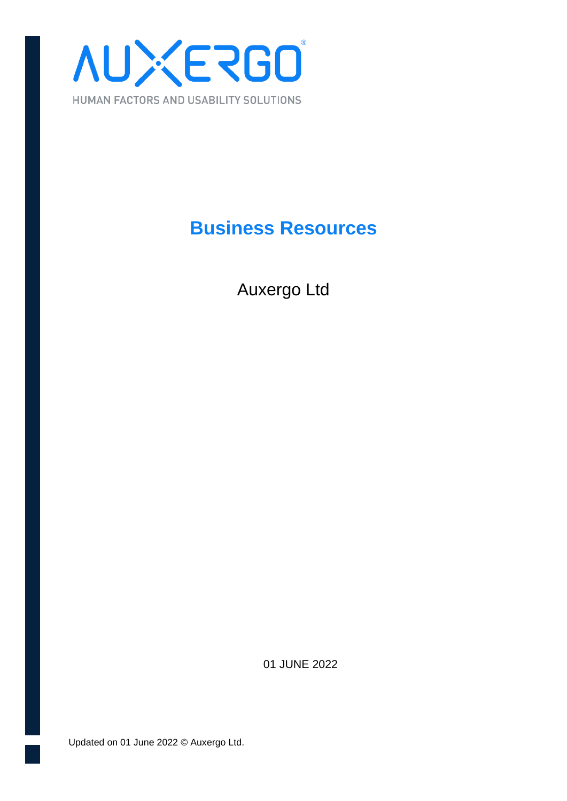

# **Business Resources**

Auxergo Ltd

01 JUNE 2022

Updated on 01 June 2022 © Auxergo Ltd.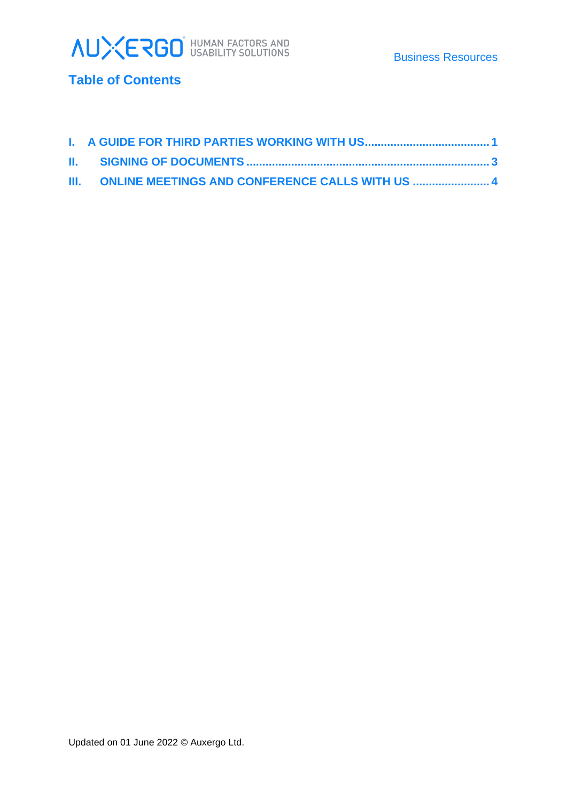



## **Table of Contents**

| III. ONLINE MEETINGS AND CONFERENCE CALLS WITH US  4 |
|------------------------------------------------------|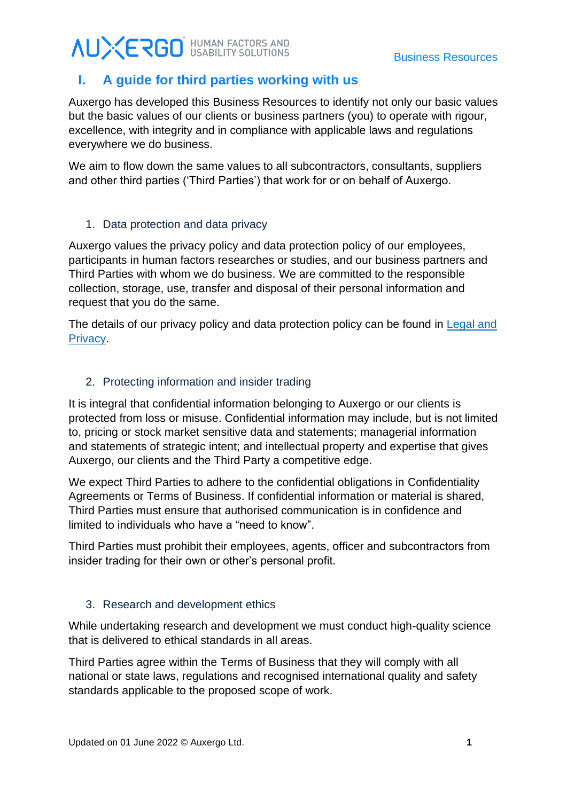# **AUXERGO** HUMAN FACTORS AND

### <span id="page-2-0"></span>**I. A guide for third parties working with us**

Auxergo has developed this Business Resources to identify not only our basic values but the basic values of our clients or business partners (you) to operate with rigour, excellence, with integrity and in compliance with applicable laws and regulations everywhere we do business.

We aim to flow down the same values to all subcontractors, consultants, suppliers and other third parties ('Third Parties') that work for or on behalf of Auxergo.

#### 1. Data protection and data privacy

Auxergo values the privacy policy and data protection policy of our employees, participants in human factors researches or studies, and our business partners and Third Parties with whom we do business. We are committed to the responsible collection, storage, use, transfer and disposal of their personal information and request that you do the same.

The details of our privacy policy and data protection policy can be found in Legal and [Privacy.](https://www.auxergo.com/_files/ugd/01d489_0f18dee16b724f54a1df0ba6c3eb208b.pdf)

#### 2. Protecting information and insider trading

It is integral that confidential information belonging to Auxergo or our clients is protected from loss or misuse. Confidential information may include, but is not limited to, pricing or stock market sensitive data and statements; managerial information and statements of strategic intent; and intellectual property and expertise that gives Auxergo, our clients and the Third Party a competitive edge.

We expect Third Parties to adhere to the confidential obligations in Confidentiality Agreements or Terms of Business. If confidential information or material is shared, Third Parties must ensure that authorised communication is in confidence and limited to individuals who have a "need to know".

Third Parties must prohibit their employees, agents, officer and subcontractors from insider trading for their own or other's personal profit.

#### 3. Research and development ethics

While undertaking research and development we must conduct high-quality science that is delivered to ethical standards in all areas.

Third Parties agree within the Terms of Business that they will comply with all national or state laws, regulations and recognised international quality and safety standards applicable to the proposed scope of work.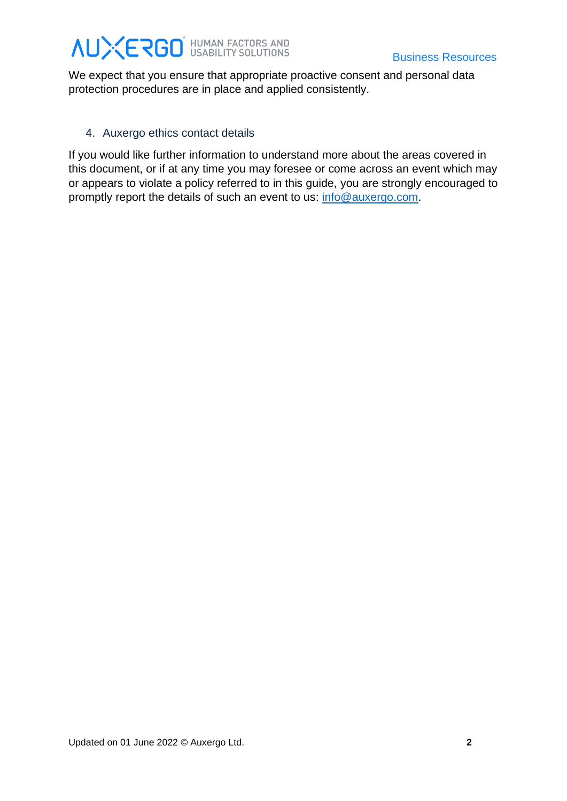# **AUXERGO** HUMAN FACTORS AND<br>Business Resources

We expect that you ensure that appropriate proactive consent and personal data protection procedures are in place and applied consistently.

#### 4. Auxergo ethics contact details

If you would like further information to understand more about the areas covered in this document, or if at any time you may foresee or come across an event which may or appears to violate a policy referred to in this guide, you are strongly encouraged to promptly report the details of such an event to us: [info@auxergo.com.](mailto:info@auxergo.com)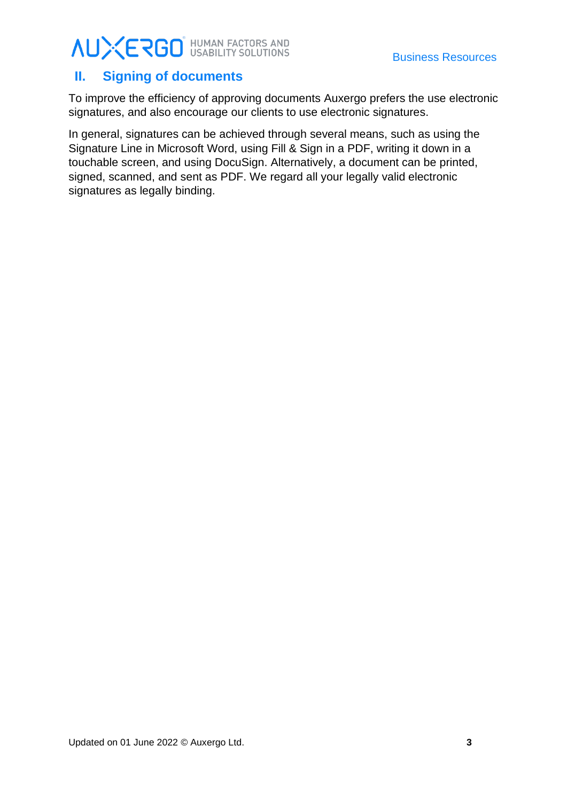# **AUXERGO** HUMAN FACTORS AND<br>Business Resources

## <span id="page-4-0"></span>**II. Signing of documents**

To improve the efficiency of approving documents Auxergo prefers the use electronic signatures, and also encourage our clients to use electronic signatures.

In general, signatures can be achieved through several means, such as using the Signature Line in Microsoft Word, using Fill & Sign in a PDF, writing it down in a touchable screen, and using DocuSign. Alternatively, a document can be printed, signed, scanned, and sent as PDF. We regard all your legally valid electronic signatures as legally binding.